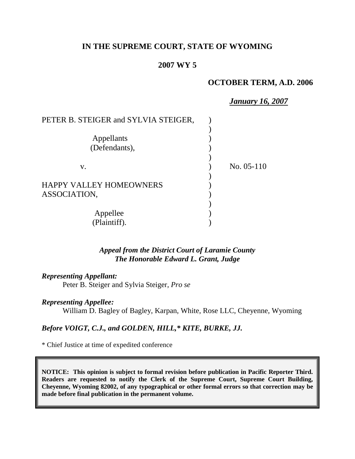## **IN THE SUPREME COURT, STATE OF WYOMING**

## **2007 WY 5**

## **OCTOBER TERM, A.D. 2006**

*January 16, 2007*

| PETER B. STEIGER and SYLVIA STEIGER, |              |
|--------------------------------------|--------------|
|                                      |              |
| Appellants                           |              |
| (Defendants),                        |              |
|                                      |              |
| V.                                   | No. $05-110$ |
|                                      |              |
| <b>HAPPY VALLEY HOMEOWNERS</b>       |              |
| ASSOCIATION,                         |              |
|                                      |              |
| Appellee                             |              |
| Plaintiff).                          |              |

*Appeal from the District Court of Laramie County The Honorable Edward L. Grant, Judge* 

*Representing Appellant:* Peter B. Steiger and Sylvia Steiger, *Pro se*

*Representing Appellee:*

William D. Bagley of Bagley, Karpan, White, Rose LLC, Cheyenne, Wyoming

*Before VOIGT, C.J., and GOLDEN, HILL,\* KITE, BURKE, JJ.*

\* Chief Justice at time of expedited conference

**NOTICE: This opinion is subject to formal revision before publication in Pacific Reporter Third. Readers are requested to notify the Clerk of the Supreme Court, Supreme Court Building, Cheyenne, Wyoming 82002, of any typographical or other formal errors so that correction may be made before final publication in the permanent volume.**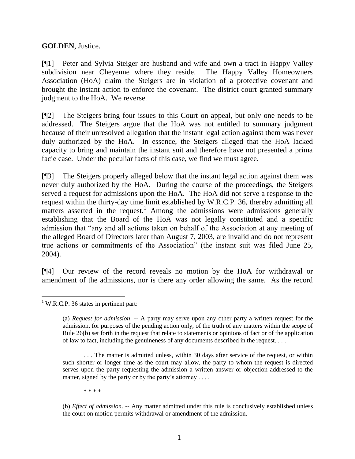**GOLDEN**, Justice.

[¶1] Peter and Sylvia Steiger are husband and wife and own a tract in Happy Valley subdivision near Cheyenne where they reside. The Happy Valley Homeowners Association (HoA) claim the Steigers are in violation of a protective covenant and brought the instant action to enforce the covenant. The district court granted summary judgment to the HoA. We reverse.

[¶2] The Steigers bring four issues to this Court on appeal, but only one needs to be addressed. The Steigers argue that the HoA was not entitled to summary judgment because of their unresolved allegation that the instant legal action against them was never duly authorized by the HoA. In essence, the Steigers alleged that the HoA lacked capacity to bring and maintain the instant suit and therefore have not presented a prima facie case. Under the peculiar facts of this case, we find we must agree.

[¶3] The Steigers properly alleged below that the instant legal action against them was never duly authorized by the HoA. During the course of the proceedings, the Steigers served a request for admissions upon the HoA. The HoA did not serve a response to the request within the thirty-day time limit established by W.R.C.P. 36, thereby admitting all matters asserted in the request.<sup>1</sup> Among the admissions were admissions generally establishing that the Board of the HoA was not legally constituted and a specific admission that "any and all actions taken on behalf of the Association at any meeting of the alleged Board of Directors later than August 7, 2003, are invalid and do not represent true actions or commitments of the Association" (the instant suit was filed June 25, 2004).

[¶4] Our review of the record reveals no motion by the HoA for withdrawal or amendment of the admissions, nor is there any order allowing the same. As the record

\* \* \* \*

l  $1$  W.R.C.P. 36 states in pertinent part:

<sup>(</sup>a) *Request for admission*. -- A party may serve upon any other party a written request for the admission, for purposes of the pending action only, of the truth of any matters within the scope of Rule 26(b) set forth in the request that relate to statements or opinions of fact or of the application of law to fact, including the genuineness of any documents described in the request. . . .

<sup>. . .</sup> The matter is admitted unless, within 30 days after service of the request, or within such shorter or longer time as the court may allow, the party to whom the request is directed serves upon the party requesting the admission a written answer or objection addressed to the matter, signed by the party or by the party's attorney ....

<sup>(</sup>b) *Effect of admission*. -- Any matter admitted under this rule is conclusively established unless the court on motion permits withdrawal or amendment of the admission.